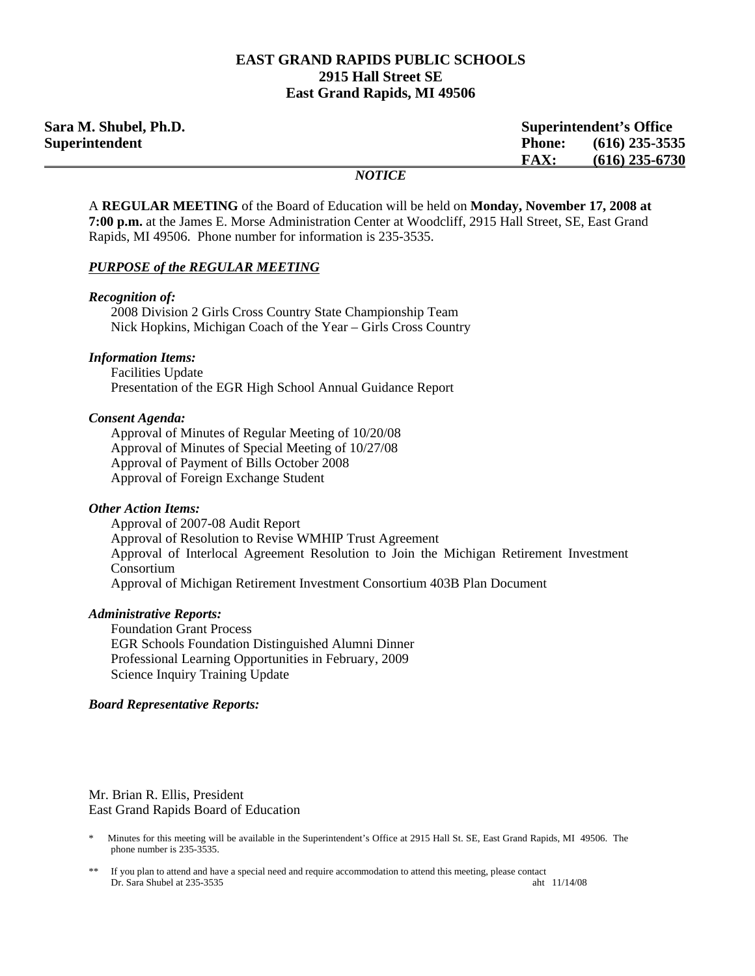## **EAST GRAND RAPIDS PUBLIC SCHOOLS 2915 Hall Street SE East Grand Rapids, MI 49506**

| Sara M. Shubel, Ph.D. |                              | <b>Superintendent's Office</b> |  |
|-----------------------|------------------------------|--------------------------------|--|
| Superintendent        | <b>Phone:</b>                | $(616)$ 235-3535               |  |
|                       | <b>FAX:</b>                  | $(616)$ 235-6730               |  |
|                       | $\bf M\Delta T\bf I\Delta T$ |                                |  |

### *NOTICE*

A **REGULAR MEETING** of the Board of Education will be held on **Monday, November 17, 2008 at 7:00 p.m.** at the James E. Morse Administration Center at Woodcliff, 2915 Hall Street, SE, East Grand Rapids, MI 49506. Phone number for information is 235-3535.

### *PURPOSE of the REGULAR MEETING*

#### *Recognition of:*

 2008 Division 2 Girls Cross Country State Championship Team Nick Hopkins, Michigan Coach of the Year – Girls Cross Country

### *Information Items:*

 Facilities Update Presentation of the EGR High School Annual Guidance Report

### *Consent Agenda:*

 Approval of Minutes of Regular Meeting of 10/20/08 Approval of Minutes of Special Meeting of 10/27/08 Approval of Payment of Bills October 2008 Approval of Foreign Exchange Student

#### *Other Action Items:*

 Approval of 2007-08 Audit Report Approval of Resolution to Revise WMHIP Trust Agreement Approval of Interlocal Agreement Resolution to Join the Michigan Retirement Investment Consortium Approval of Michigan Retirement Investment Consortium 403B Plan Document

### *Administrative Reports:*

**Foundation Grant Process**  EGR Schools Foundation Distinguished Alumni Dinner Professional Learning Opportunities in February, 2009 Science Inquiry Training Update

### *Board Representative Reports:*

Mr. Brian R. Ellis, President East Grand Rapids Board of Education

<sup>\*</sup> Minutes for this meeting will be available in the Superintendent's Office at 2915 Hall St. SE, East Grand Rapids, MI 49506. The phone number is 235-3535.

If you plan to attend and have a special need and require accommodation to attend this meeting, please contact Dr. Sara Shubel at 235-3535 aht 11/14/08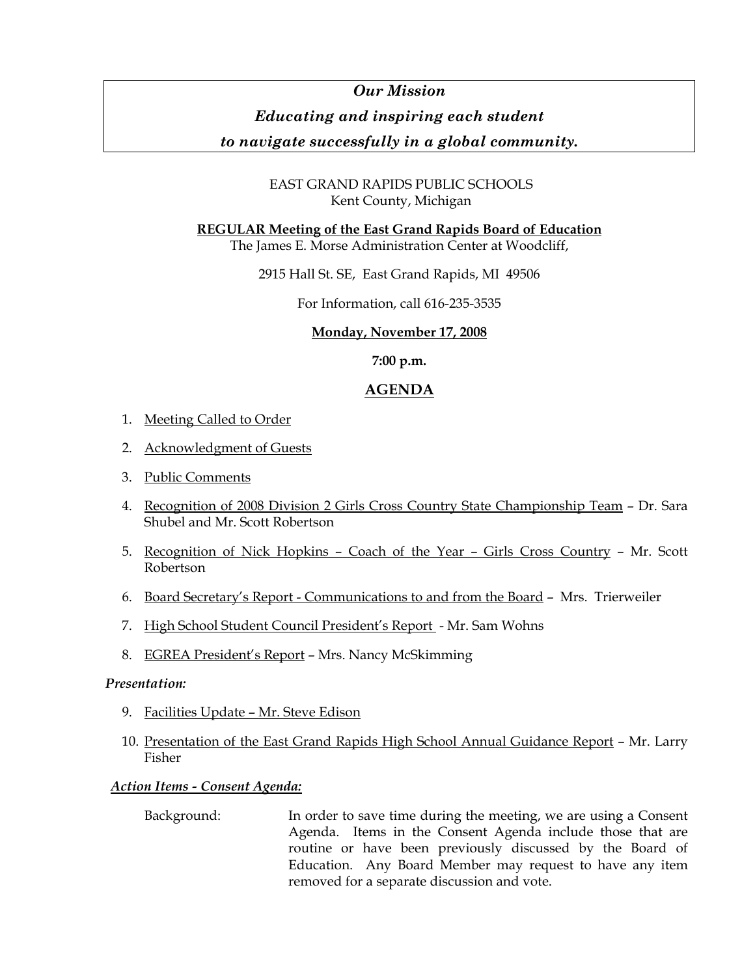# *Our Mission*

# *Educating and inspiring each student*

# *to navigate successfully in a global community.*

## EAST GRAND RAPIDS PUBLIC SCHOOLS Kent County, Michigan

## **REGULAR Meeting of the East Grand Rapids Board of Education**

The James E. Morse Administration Center at Woodcliff,

2915 Hall St. SE, East Grand Rapids, MI 49506

For Information, call 616-235-3535

## **Monday, November 17, 2008**

**7:00 p.m.** 

# **AGENDA**

- 1. Meeting Called to Order
- 2. Acknowledgment of Guests
- 3. Public Comments
- 4. Recognition of 2008 Division 2 Girls Cross Country State Championship Team Dr. Sara Shubel and Mr. Scott Robertson
- 5. Recognition of Nick Hopkins Coach of the Year Girls Cross Country Mr. Scott Robertson
- 6. Board Secretary's Report Communications to and from the Board Mrs. Trierweiler
- 7. High School Student Council President's Report Mr. Sam Wohns
- 8. EGREA President's Report Mrs. Nancy McSkimming

## *Presentation:*

- 9. Facilities Update Mr. Steve Edison
- 10. Presentation of the East Grand Rapids High School Annual Guidance Report Mr. Larry Fisher

## *Action Items - Consent Agenda:*

 Background: In order to save time during the meeting, we are using a Consent Agenda. Items in the Consent Agenda include those that are routine or have been previously discussed by the Board of Education. Any Board Member may request to have any item removed for a separate discussion and vote.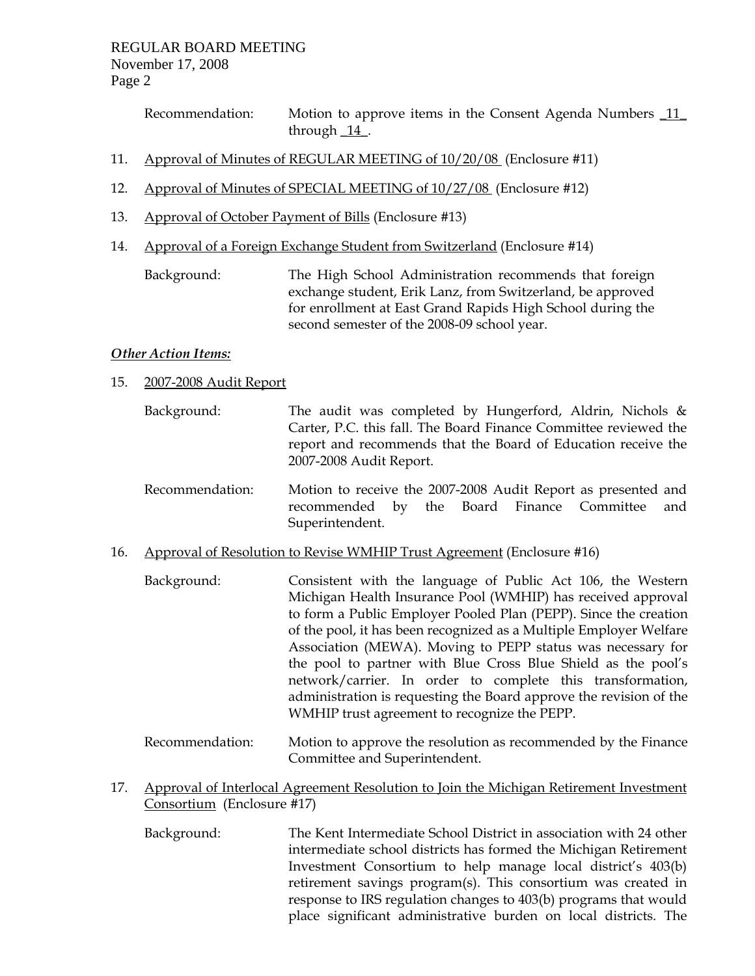Recommendation: Motion to approve items in the Consent Agenda Numbers 11 through  $14$ .

- 11. Approval of Minutes of REGULAR MEETING of 10/20/08 (Enclosure #11)
- 12. Approval of Minutes of SPECIAL MEETING of 10/27/08 (Enclosure #12)
- 13. Approval of October Payment of Bills (Enclosure #13)
- 14. Approval of a Foreign Exchange Student from Switzerland (Enclosure #14)

 Background: The High School Administration recommends that foreign exchange student, Erik Lanz, from Switzerland, be approved for enrollment at East Grand Rapids High School during the second semester of the 2008-09 school year.

## *Other Action Items:*

- 15. 2007-2008 Audit Report
	- Background: The audit was completed by Hungerford, Aldrin, Nichols & Carter, P.C. this fall. The Board Finance Committee reviewed the report and recommends that the Board of Education receive the 2007-2008 Audit Report.
	- Recommendation: Motion to receive the 2007-2008 Audit Report as presented and recommended by the Board Finance Committee and Superintendent.
- 16. Approval of Resolution to Revise WMHIP Trust Agreement (Enclosure #16)
	- Background: Consistent with the language of Public Act 106, the Western Michigan Health Insurance Pool (WMHIP) has received approval to form a Public Employer Pooled Plan (PEPP). Since the creation of the pool, it has been recognized as a Multiple Employer Welfare Association (MEWA). Moving to PEPP status was necessary for the pool to partner with Blue Cross Blue Shield as the pool's network/carrier. In order to complete this transformation, administration is requesting the Board approve the revision of the WMHIP trust agreement to recognize the PEPP.
	- Recommendation: Motion to approve the resolution as recommended by the Finance Committee and Superintendent.
- 17. Approval of Interlocal Agreement Resolution to Join the Michigan Retirement Investment Consortium (Enclosure #17)
	- Background: The Kent Intermediate School District in association with 24 other intermediate school districts has formed the Michigan Retirement Investment Consortium to help manage local district's 403(b) retirement savings program(s). This consortium was created in response to IRS regulation changes to 403(b) programs that would place significant administrative burden on local districts. The